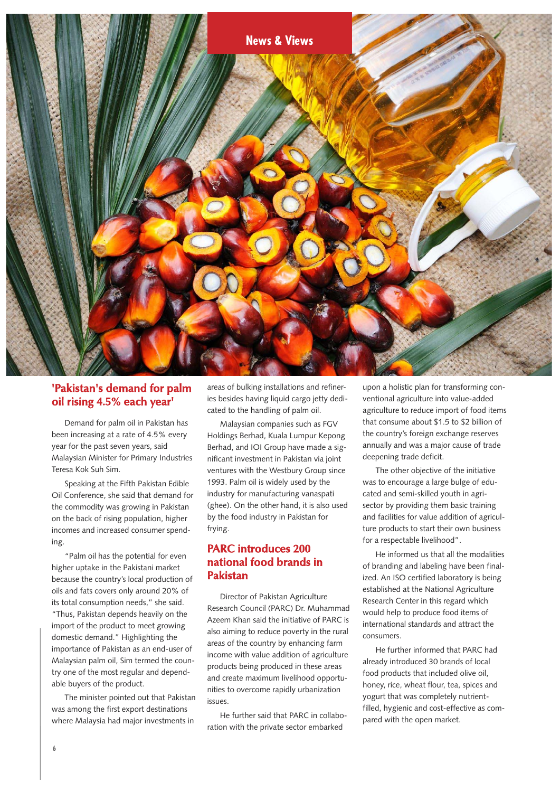

### **'Pakistan's demand for palm oil rising 4.5% each year'**

Demand for palm oil in Pakistan has been increasing at a rate of 4.5% every year for the past seven years, said Malaysian Minister for Primary Industries Teresa Kok Suh Sim.

Speaking at the Fifth Pakistan Edible Oil Conference, she said that demand for the commodity was growing in Pakistan on the back of rising population, higher incomes and increased consumer spending.

"Palm oil has the potential for even higher uptake in the Pakistani market because the country's local production of oils and fats covers only around 20% of its total consumption needs," she said. "Thus, Pakistan depends heavily on the import of the product to meet growing domestic demand." Highlighting the importance of Pakistan as an end-user of Malaysian palm oil, Sim termed the country one of the most regular and dependable buyers of the product.

The minister pointed out that Pakistan was among the first export destinations where Malaysia had major investments in

areas of bulking installations and refineries besides having liquid cargo jetty dedicated to the handling of palm oil.

Malaysian companies such as FGV Holdings Berhad, Kuala Lumpur Kepong Berhad, and IOI Group have made a significant investment in Pakistan via joint ventures with the Westbury Group since 1993. Palm oil is widely used by the industry for manufacturing vanaspati (ghee). On the other hand, it is also used by the food industry in Pakistan for frying.

### **PARC introduces 200 national food brands in Pakistan**

Director of Pakistan Agriculture Research Council (PARC) Dr. Muhammad Azeem Khan said the initiative of PARC is also aiming to reduce poverty in the rural areas of the country by enhancing farm income with value addition of agriculture products being produced in these areas and create maximum livelihood opportunities to overcome rapidly urbanization issues.

He further said that PARC in collaboration with the private sector embarked

upon a holistic plan for transforming conventional agriculture into value-added agriculture to reduce import of food items that consume about \$1.5 to \$2 billion of the country's foreign exchange reserves annually and was a major cause of trade deepening trade deficit.

The other objective of the initiative was to encourage a large bulge of educated and semi-skilled youth in agrisector by providing them basic training and facilities for value addition of agriculture products to start their own business for a respectable livelihood".

He informed us that all the modalities of branding and labeling have been finalized. An ISO certified laboratory is being established at the National Agriculture Research Center in this regard which would help to produce food items of international standards and attract the consumers.

He further informed that PARC had already introduced 30 brands of local food products that included olive oil, honey, rice, wheat flour, tea, spices and yogurt that was completely nutrientfilled, hygienic and cost-effective as compared with the open market.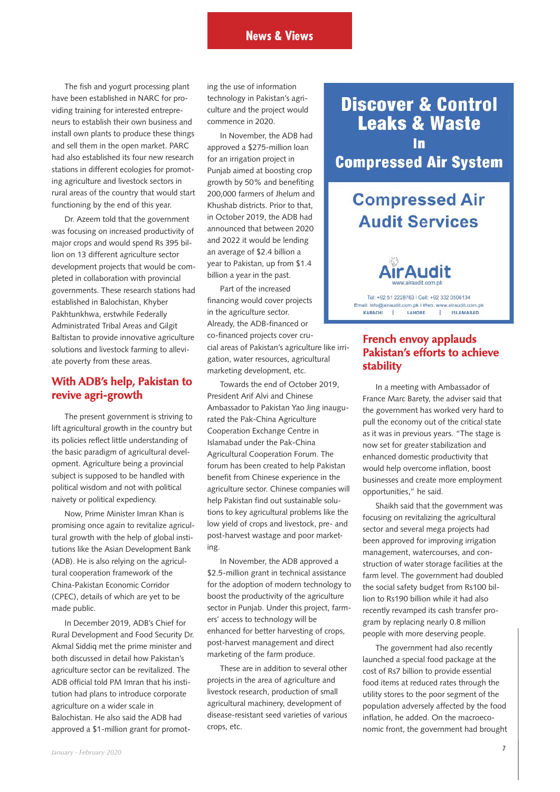The fish and yogurt processing plant have been established in NARC for providing training for interested entrepreneurs to establish their own business and install own plants to produce these things and sell them in the open market. PARC had also established its four new research stations in different ecologies for promoting agriculture and livestock sectors in rural areas of the country that would start functioning by the end of this year.

Dr. Azeem told that the government was focusing on increased productivity of major crops and would spend Rs 395 billion on 13 different agriculture sector development projects that would be completed in collaboration with provincial governments. These research stations had established in Balochistan, Khyber Pakhtunkhwa, erstwhile Federally Administrated Tribal Areas and Gilgit Baltistan to provide innovative agriculture solutions and livestock farming to alleviate poverty from these areas.

#### **With ADB's help, Pakistan to revive agri-growth**

The present government is striving to lift agricultural growth in the country but its policies reflect little understanding of the basic paradigm of agricultural development. Agriculture being a provincial subject is supposed to be handled with political wisdom and not with political naivety or political expediency.

Now, Prime Minister Imran Khan is promising once again to revitalize agricultural growth with the help of global institutions like the Asian Development Bank (ADB). He is also relying on the agricultural cooperation framework of the China-Pakistan Economic Corridor (CPEC), details of which are yet to be made public.

In December 2019, ADB's Chief for Rural Development and Food Security Dr. Akmal Siddiq met the prime minister and both discussed in detail how Pakistan's agriculture sector can be revitalized. The ADB official told PM Imran that his institution had plans to introduce corporate agriculture on a wider scale in Balochistan. He also said the ADB had approved a \$1-million grant for promoting the use of information technology in Pakistan's agriculture and the project would commence in 2020.

In November, the ADB had approved a \$275-million loan for an irrigation project in Punjab aimed at boosting crop growth by 50% and benefiting 200,000 farmers of Jhelum and Khushab districts. Prior to that, in October 2019, the ADB had announced that between 2020 and 2022 it would be lending an average of \$2.4 billion a year to Pakistan, up from \$1.4 billion a year in the past.

Part of the increased financing would cover projects in the agriculture sector. Already, the ADB-financed or co-financed projects cover crucial areas of Pakistan's agriculture like irrigation, water resources, agricultural marketing development, etc.

Towards the end of October 2019, President Arif Alvi and Chinese Ambassador to Pakistan Yao Jing inaugurated the Pak-China Agriculture Cooperation Exchange Centre in Islamabad under the Pak-China Agricultural Cooperation Forum. The forum has been created to help Pakistan benefit from Chinese experience in the agriculture sector. Chinese companies will help Pakistan find out sustainable solutions to key agricultural problems like the low yield of crops and livestock, pre- and post-harvest wastage and poor marketing.

In November, the ADB approved a \$2.5-million grant in technical assistance for the adoption of modern technology to boost the productivity of the agriculture sector in Punjab. Under this project, farmers' access to technology will be enhanced for better harvesting of crops, post-harvest management and direct marketing of the farm produce.

These are in addition to several other projects in the area of agriculture and livestock research, production of small agricultural machinery, development of disease-resistant seed varieties of various crops, etc.

**Discover & Control Leaks & Waste Compressed Air System** 

# **Compressed Air Audit Services**

Tel: +92.51.2228763 | Cell: +92.332.0506134 Email: info@airaudit.com.pk I Web: www.airaudit.com.pk LAHORE **ISLAMABAD** KARACHI  $\mathbf{I}$  $\mathbf{L}$ 

### **French envoy applauds Pakistan's efforts to achieve stability**

In a meeting with Ambassador of France Marc Barety, the adviser said that the government has worked very hard to pull the economy out of the critical state as it was in previous years. "The stage is now set for greater stabilization and enhanced domestic productivity that would help overcome inflation, boost businesses and create more employment opportunities," he said.

Shaikh said that the government was focusing on revitalizing the agricultural sector and several mega projects had been approved for improving irrigation management, watercourses, and construction of water storage facilities at the farm level. The government had doubled the social safety budget from Rs100 billion to Rs190 billion while it had also recently revamped its cash transfer program by replacing nearly 0.8 million people with more deserving people.

The government had also recently launched a special food package at the cost of Rs7 billion to provide essential food items at reduced rates through the utility stores to the poor segment of the population adversely affected by the food inflation, he added. On the macroeconomic front, the government had brought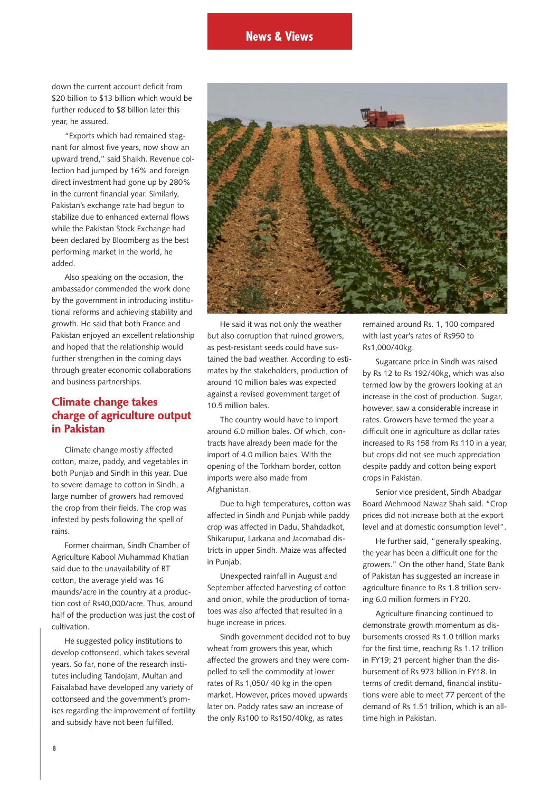down the current account deficit from \$20 billion to \$13 billion which would be further reduced to \$8 billion later this year, he assured.

"Exports which had remained stagnant for almost five years, now show an upward trend," said Shaikh. Revenue collection had jumped by 16% and foreign direct investment had gone up by 280% in the current financial year. Similarly, Pakistan's exchange rate had begun to stabilize due to enhanced external flows while the Pakistan Stock Exchange had been declared by Bloomberg as the best performing market in the world, he added.

Also speaking on the occasion, the ambassador commended the work done by the government in introducing institutional reforms and achieving stability and growth. He said that both France and Pakistan enjoyed an excellent relationship and hoped that the relationship would further strengthen in the coming days through greater economic collaborations and business partnerships.

### **Climate change takes charge of agriculture output in Pakistan**

Climate change mostly affected cotton, maize, paddy, and vegetables in both Punjab and Sindh in this year. Due to severe damage to cotton in Sindh, a large number of growers had removed the crop from their fields. The crop was infested by pests following the spell of rains.

Former chairman, Sindh Chamber of Agriculture Kabool Muhammad Khatian said due to the unavailability of BT cotton, the average yield was 16 maunds/acre in the country at a production cost of Rs40,000/acre. Thus, around half of the production was just the cost of cultivation.

He suggested policy institutions to develop cottonseed, which takes several years. So far, none of the research institutes including Tandojam, Multan and Faisalabad have developed any variety of cottonseed and the government's promises regarding the improvement of fertility and subsidy have not been fulfilled.



He said it was not only the weather but also corruption that ruined growers, as pest-resistant seeds could have sustained the bad weather. According to estimates by the stakeholders, production of around 10 million bales was expected against a revised government target of 10.5 million bales.

The country would have to import around 6.0 million bales. Of which, contracts have already been made for the import of 4.0 million bales. With the opening of the Torkham border, cotton imports were also made from Afghanistan.

Due to high temperatures, cotton was affected in Sindh and Punjab while paddy crop was affected in Dadu, Shahdadkot, Shikarupur, Larkana and Jacomabad districts in upper Sindh. Maize was affected in Punjab.

Unexpected rainfall in August and September affected harvesting of cotton and onion, while the production of tomatoes was also affected that resulted in a huge increase in prices.

Sindh government decided not to buy wheat from growers this year, which affected the growers and they were compelled to sell the commodity at lower rates of Rs 1,050/ 40 kg in the open market. However, prices moved upwards later on. Paddy rates saw an increase of the only Rs100 to Rs150/40kg, as rates

remained around Rs. 1, 100 compared with last year's rates of Rs950 to Rs1,000/40kg.

Sugarcane price in Sindh was raised by Rs 12 to Rs 192/40kg, which was also termed low by the growers looking at an increase in the cost of production. Sugar, however, saw a considerable increase in rates. Growers have termed the year a difficult one in agriculture as dollar rates increased to Rs 158 from Rs 110 in a year, but crops did not see much appreciation despite paddy and cotton being export crops in Pakistan.

Senior vice president, Sindh Abadgar Board Mehmood Nawaz Shah said. "Crop prices did not increase both at the export level and at domestic consumption level".

He further said, "generally speaking, the year has been a difficult one for the growers." On the other hand, State Bank of Pakistan has suggested an increase in agriculture finance to Rs 1.8 trillion serving 6.0 million formers in FY20.

Agriculture financing continued to demonstrate growth momentum as disbursements crossed Rs 1.0 trillion marks for the first time, reaching Rs 1.17 trillion in FY19; 21 percent higher than the disbursement of Rs 973 billion in FY18. In terms of credit demand, financial institutions were able to meet 77 percent of the demand of Rs 1.51 trillion, which is an alltime high in Pakistan.